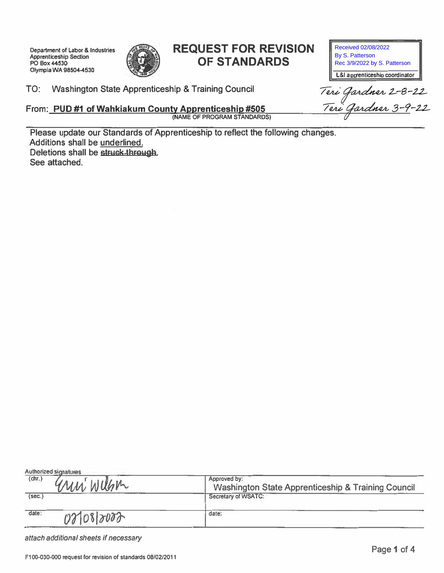**Department of Labor & Industries Apprenticeship Section PO Box44530 Olympia WA 9B504-4530** 



# **REQUEST FOR REVISION OF STANDARDS**

Received 02/08/2022 By S. Patterson Rec 3/9/2022 by S. Patterson

**L&I a pprenticeship coordinator** 

Teri Gardner 2-8-22<br><u>Teri Gardner 3-9</u>-22

**TO: Washington State Apprenticeship & Training Council** 

**From: PUO #1 of Wahkiakum County Apprenticeship #505 (NAME OF PROGRAM STANDARDS)** 

**Please update our Standards of Apprenticeship to reflect the following changes. Additions shall be underlined. Deletions shall be struck through. See attached.** 

| (chr.)<br>arni Willem | Approved by:<br><b>Washington State Apprenticeship &amp; Training Council</b> |
|-----------------------|-------------------------------------------------------------------------------|
| (sec.)                | Secretary of WSATC:                                                           |
| date:<br>021082000    | date:                                                                         |

*attach additional sheets if necessary*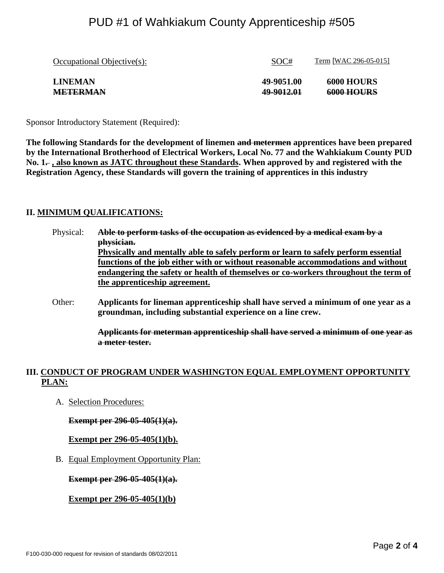## PUD #1 of Wahkiakum County Apprenticeship #505

| Occupational Objective(s): | SOC#       | Term [WAC 296-05-015] |
|----------------------------|------------|-----------------------|
| <b>LINEMAN</b>             | 49-9051.00 | <b>6000 HOURS</b>     |
| <b>METERMAN</b>            | 49-9012.01 | <b>6000 HOURS</b>     |

Sponsor Introductory Statement (Required):

**The following Standards for the development of linemen and metermen apprentices have been prepared by the International Brotherhood of Electrical Workers, Local No. 77 and the Wahkiakum County PUD**  No. 1–, also known as JATC throughout these Standards. When approved by and registered with the **Registration Agency, these Standards will govern the training of apprentices in this industry**

### **II. MINIMUM QUALIFICATIONS:**

- Physical: **Able to perform tasks of the occupation as evidenced by a medical exam by a physician. Physically and mentally able to safely perform or learn to safely perform essential functions of the job either with or without reasonable accommodations and without endangering the safety or health of themselves or co-workers throughout the term of the apprenticeship agreement.**
- Other: **Applicants for lineman apprenticeship shall have served a minimum of one year as a groundman, including substantial experience on a line crew.**

**Applicants for meterman apprenticeship shall have served a minimum of one year as a meter tester.**

## **III. CONDUCT OF PROGRAM UNDER WASHINGTON EQUAL EMPLOYMENT OPPORTUNITY PLAN:**

A. Selection Procedures:

**Exempt per 296-05-405(1)(a).**

**Exempt per 296-05-405(1)(b).**

B. Equal Employment Opportunity Plan:

**Exempt per 296-05-405(1)(a).**

**Exempt per 296-05-405(1)(b)**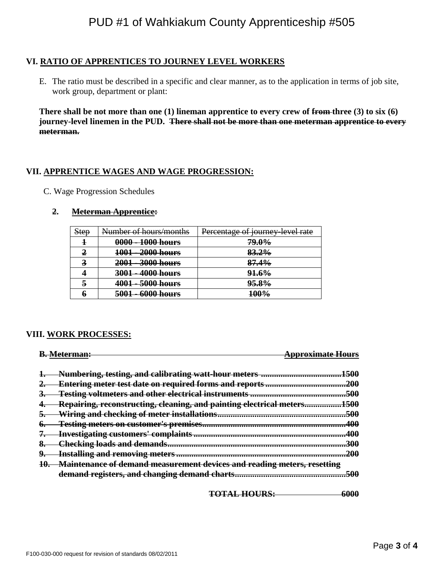## **VI. RATIO OF APPRENTICES TO JOURNEY LEVEL WORKERS**

E. The ratio must be described in a specific and clear manner, as to the application in terms of job site, work group, department or plant:

**There shall be not more than one (1) lineman apprentice to every crew of from three (3) to six (6) journey-level linemen in the PUD. There shall not be more than one meterman apprentice to every meterman.**

### **VII. APPRENTICE WAGES AND WAGE PROGRESSION:**

C. Wage Progression Schedules

### **2. Meterman Apprentice:**

| <b>Step</b> | Number of hours/months        | Percentage of journey level rate |
|-------------|-------------------------------|----------------------------------|
|             | 0000 - 1000 hours             | 79.0%                            |
| Δ           | 1001 - 2000 hours             | 83.2%                            |
| 3           | 2001 - 3000 hours             | 87.4%                            |
|             | 3001 - 4000 hours             | <b>91.6%</b>                     |
| 5           | 4001 - 5000 hours             | <del>95.8%</del>                 |
| Ð           | 6000 hours<br><del>5001</del> | 100%                             |

#### **VIII. WORK PROCESSES:**

|    | <u> Atarmanı</u>                                                        | nnrovimata Haure |
|----|-------------------------------------------------------------------------|------------------|
|    | Numbering, testing, and calibrating watt-hour meters                    | 500              |
|    | <b>Entering meter test date on required forms and reports</b>           | 200              |
| ð. | Testing voltmeters and other electrical instruments .                   | 500              |
| ٠. | Repairing, reconstructing, cleaning, and painting electrical meters     | 500<br>JW.       |
| э. | Wiring and checking of meter installations.                             | 500              |
| o. | Testing meters on customer's premises                                   | 40A              |
|    | <b>Investigating customers' complaints</b>                              | 400              |
| ð. | <del>Checking loads and demands.</del>                                  | 300              |
| У. | <b>Installing and removing meters </b>                                  | ንበበ              |
|    | Maintenance of demand measurement devices and reading meters, resetting |                  |
|    | demand registers, and changing demand charts                            |                  |

**TOTAL HOURS: 6000**